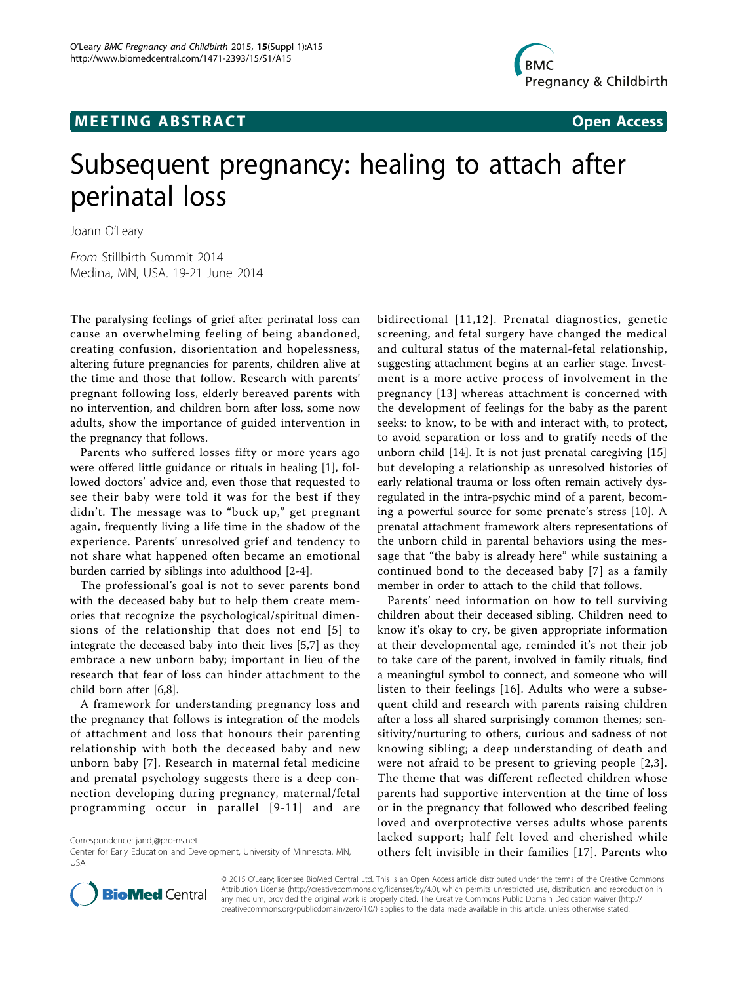## **MEETING ABSTRACT CONSUMING ABSTRACT**



# Subsequent pregnancy: healing to attach after perinatal loss

Joann O'Leary

From Stillbirth Summit 2014 Medina, MN, USA. 19-21 June 2014

The paralysing feelings of grief after perinatal loss can cause an overwhelming feeling of being abandoned, creating confusion, disorientation and hopelessness, altering future pregnancies for parents, children alive at the time and those that follow. Research with parents' pregnant following loss, elderly bereaved parents with no intervention, and children born after loss, some now adults, show the importance of guided intervention in the pregnancy that follows.

Parents who suffered losses fifty or more years ago were offered little guidance or rituals in healing [[1\]](#page--1-0), followed doctors' advice and, even those that requested to see their baby were told it was for the best if they didn't. The message was to "buck up," get pregnant again, frequently living a life time in the shadow of the experience. Parents' unresolved grief and tendency to not share what happened often became an emotional burden carried by siblings into adulthood [[2-4\]](#page--1-0).

The professional's goal is not to sever parents bond with the deceased baby but to help them create memories that recognize the psychological/spiritual dimensions of the relationship that does not end [[5](#page--1-0)] to integrate the deceased baby into their lives [[5,7\]](#page--1-0) as they embrace a new unborn baby; important in lieu of the research that fear of loss can hinder attachment to the child born after [\[6,8](#page--1-0)].

A framework for understanding pregnancy loss and the pregnancy that follows is integration of the models of attachment and loss that honours their parenting relationship with both the deceased baby and new unborn baby [[7](#page--1-0)]. Research in maternal fetal medicine and prenatal psychology suggests there is a deep connection developing during pregnancy, maternal/fetal programming occur in parallel [[9](#page--1-0)-[11](#page--1-0)] and are

Correspondence: [jandj@pro-ns.net](mailto:jandj@pro-ns.net)

bidirectional [[11](#page--1-0),[12\]](#page--1-0). Prenatal diagnostics, genetic screening, and fetal surgery have changed the medical and cultural status of the maternal-fetal relationship, suggesting attachment begins at an earlier stage. Investment is a more active process of involvement in the pregnancy [[13\]](#page--1-0) whereas attachment is concerned with the development of feelings for the baby as the parent seeks: to know, to be with and interact with, to protect, to avoid separation or loss and to gratify needs of the unborn child [\[14](#page--1-0)]. It is not just prenatal caregiving [\[15](#page--1-0)] but developing a relationship as unresolved histories of early relational trauma or loss often remain actively dysregulated in the intra-psychic mind of a parent, becoming a powerful source for some prenate's stress [[10\]](#page--1-0). A prenatal attachment framework alters representations of the unborn child in parental behaviors using the message that "the baby is already here" while sustaining a continued bond to the deceased baby [[7\]](#page--1-0) as a family member in order to attach to the child that follows.

Parents' need information on how to tell surviving children about their deceased sibling. Children need to know it's okay to cry, be given appropriate information at their developmental age, reminded it's not their job to take care of the parent, involved in family rituals, find a meaningful symbol to connect, and someone who will listen to their feelings [[16](#page--1-0)]. Adults who were a subsequent child and research with parents raising children after a loss all shared surprisingly common themes; sensitivity/nurturing to others, curious and sadness of not knowing sibling; a deep understanding of death and were not afraid to be present to grieving people [\[2,3\]](#page--1-0). The theme that was different reflected children whose parents had supportive intervention at the time of loss or in the pregnancy that followed who described feeling loved and overprotective verses adults whose parents lacked support; half felt loved and cherished while others felt invisible in their families [[17](#page--1-0)]. Parents who



© 2015 O'Leary; licensee BioMed Central Ltd. This is an Open Access article distributed under the terms of the Creative Commons Attribution License [\(http://creativecommons.org/licenses/by/4.0](http://creativecommons.org/licenses/by/4.0)), which permits unrestricted use, distribution, and reproduction in any medium, provided the original work is properly cited. The Creative Commons Public Domain Dedication waiver [\(http://](http://creativecommons.org/publicdomain/zero/1.0/) [creativecommons.org/publicdomain/zero/1.0/](http://creativecommons.org/publicdomain/zero/1.0/)) applies to the data made available in this article, unless otherwise stated.

Center for Early Education and Development, University of Minnesota, MN, USA